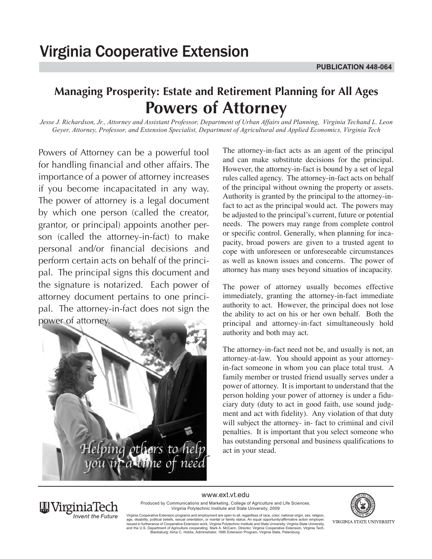# **Managing Prosperity: Estate and Retirement Planning for All Ages Powers of Attorney**

*Jesse J. Richardson, Jr., Attorney and Assistant Professor, Department of Urban Affairs and Planning, Virginia Techand L. Leon Geyer, Attorney, Professor, and Extension Specialist, Department of Agricultural and Applied Economics, Virginia Tech*

Powers of Attorney can be a powerful tool for handling financial and other affairs. The importance of a power of attorney increases if you become incapacitated in any way. The power of attorney is a legal document by which one person (called the creator, grantor, or principal) appoints another person (called the attorney-in-fact) to make personal and/or financial decisions and perform certain acts on behalf of the principal. The principal signs this document and the signature is notarized. Each power of attorney document pertains to one principal. The attorney-in-fact does not sign the power of attorney.



The attorney-in-fact acts as an agent of the principal and can make substitute decisions for the principal. However, the attorney-in-fact is bound by a set of legal rules called agency. The attorney-in-fact acts on behalf of the principal without owning the property or assets. Authority is granted by the principal to the attorney-infact to act as the principal would act. The powers may be adjusted to the principal's current, future or potential needs. The powers may range from complete control or specific control. Generally, when planning for incapacity, broad powers are given to a trusted agent to cope with unforeseen or unforeseeable circumstances as well as known issues and concerns. The power of attorney has many uses beyond situatios of incapacity.

The power of attorney usually becomes effective immediately, granting the attorney-in-fact immediate authority to act. However, the principal does not lose the ability to act on his or her own behalf. Both the principal and attorney-in-fact simultaneously hold authority and both may act.

The attorney-in-fact need not be, and usually is not, an attorney-at-law. You should appoint as your attorneyin-fact someone in whom you can place total trust. A family member or trusted friend usually serves under a power of attorney. It is important to understand that the person holding your power of attorney is under a fiduciary duty (duty to act in good faith, use sound judgment and act with fidelity). Any violation of that duty will subject the attorney- in- fact to criminal and civil penalties. It is important that you select someone who Helping others to help has outstanding personal and business qualifications to



www.ext.vt.edu

Produced by Communications and Marketing, College of Agriculture and Life Sciences, Virginia Polytechnic Institute and State University, 2009

Virginia Cooperative Extension programs and employment are open to all, regardless of race, color, national originon, sex, religion, sexual orientation, or marital or family status. An equal opportunity/affirmative action

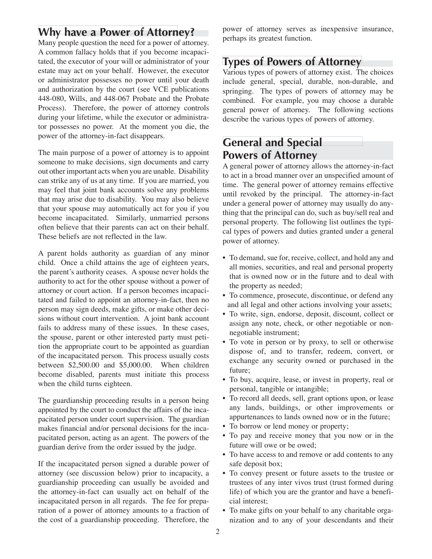### **Why have a Power of Attorney?**

Many people question the need for a power of attorney. A common fallacy holds that if you become incapacitated, the executor of your will or administrator of your estate may act on your behalf. However, the executor or administrator possesses no power until your death and authorization by the court (see VCE publications 448-080, Wills, and 448-067 Probate and the Probate Process). Therefore, the power of attorney controls during your lifetime, while the executor or administrator possesses no power. At the moment you die, the power of the attorney-in-fact disappears.

The main purpose of a power of attorney is to appoint someone to make decisions, sign documents and carry out other important acts when you are unable. Disability can strike any of us at any time. If you are married, you may feel that joint bank accounts solve any problems that may arise due to disability. You may also believe that your spouse may automatically act for you if you become incapacitated. Similarly, unmarried persons often believe that their parents can act on their behalf. These beliefs are not reflected in the law.

A parent holds authority as guardian of any minor child. Once a child attains the age of eighteen years, the parent's authority ceases. A spouse never holds the authority to act for the other spouse without a power of attorney or court action. If a person becomes incapacitated and failed to appoint an attorney-in-fact, then no person may sign deeds, make gifts, or make other decisions without court intervention. A joint bank account fails to address many of these issues. In these cases, the spouse, parent or other interested party must petition the appropriate court to be appointed as guardian of the incapacitated person. This process usually costs between \$2,500.00 and \$5,000.00. When children become disabled, parents must initiate this process when the child turns eighteen.

The guardianship proceeding results in a person being appointed by the court to conduct the affairs of the incapacitated person under court supervision. The guardian makes financial and/or personal decisions for the incapacitated person, acting as an agent. The powers of the guardian derive from the order issued by the judge.

If the incapacitated person signed a durable power of attorney (see discussion below) prior to incapacity, a guardianship proceeding can usually be avoided and the attorney-in-fact can usually act on behalf of the incapacitated person in all regards. The fee for preparation of a power of attorney amounts to a fraction of the cost of a guardianship proceeding. Therefore, the

power of attorney serves as inexpensive insurance, perhaps its greatest function.

#### **Types of Powers of Attorney**

Various types of powers of attorney exist. The choices include general, special, durable, non-durable, and springing. The types of powers of attorney may be combined. For example, you may choose a durable general power of attorney. The following sections describe the various types of powers of attorney.

# **General and Special Powers of Attorney**

A general power of attorney allows the attorney-in-fact to act in a broad manner over an unspecified amount of time. The general power of attorney remains effective until revoked by the principal. The attorney-in-fact under a general power of attorney may usually do anything that the principal can do, such as buy/sell real and personal property. The following list outlines the typical types of powers and duties granted under a general power of attorney.

- To demand, sue for, receive, collect, and hold any and all monies, securities, and real and personal property that is owned now or in the future and to deal with the property as needed;
- To commence, prosecute, discontinue, or defend any and all legal and other actions involving your assets;
- To write, sign, endorse, deposit, discount, collect or assign any note, check, or other negotiable or nonnegotiable instrument;
- To vote in person or by proxy, to sell or otherwise dispose of, and to transfer, redeem, convert, or exchange any security owned or purchased in the future;
- To buy, acquire, lease, or invest in property, real or personal, tangible or intangible;
- To record all deeds, sell, grant options upon, or lease any lands, buildings, or other improvements or appurtenances to lands owned now or in the future;
- To borrow or lend money or property;
- To pay and receive money that you now or in the future will owe or be owed;
- To have access to and remove or add contents to any safe deposit box;
- To convey present or future assets to the trustee or trustees of any inter vivos trust (trust formed during life) of which you are the grantor and have a beneficial interest;
- To make gifts on your behalf to any charitable organization and to any of your descendants and their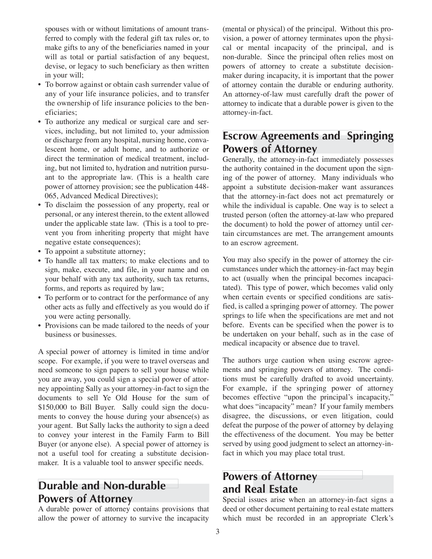spouses with or without limitations of amount transferred to comply with the federal gift tax rules or, to make gifts to any of the beneficiaries named in your will as total or partial satisfaction of any bequest, devise, or legacy to such beneficiary as then written in your will;

- To borrow against or obtain cash surrender value of any of your life insurance policies, and to transfer the ownership of life insurance policies to the beneficiaries;
- To authorize any medical or surgical care and services, including, but not limited to, your admission or discharge from any hospital, nursing home, convalescent home, or adult home, and to authorize or direct the termination of medical treatment, including, but not limited to, hydration and nutrition pursuant to the appropriate law. (This is a health care power of attorney provision; see the publication 448- 065, Advanced Medical Directives);
- To disclaim the possession of any property, real or personal, or any interest therein, to the extent allowed under the applicable state law. (This is a tool to prevent you from inheriting property that might have negative estate consequences);
- To appoint a substitute attorney;
- To handle all tax matters; to make elections and to sign, make, execute, and file, in your name and on your behalf with any tax authority, such tax returns, forms, and reports as required by law;
- To perform or to contract for the performance of any other acts as fully and effectively as you would do if you were acting personally.
- Provisions can be made tailored to the needs of your business or businesses.

A special power of attorney is limited in time and/or scope. For example, if you were to travel overseas and need someone to sign papers to sell your house while you are away, you could sign a special power of attorney appointing Sally as your attorney-in-fact to sign the documents to sell Ye Old House for the sum of \$150,000 to Bill Buyer. Sally could sign the documents to convey the house during your absence(s) as your agent. But Sally lacks the authority to sign a deed to convey your interest in the Family Farm to Bill Buyer (or anyone else). A special power of attorney is not a useful tool for creating a substitute decisionmaker. It is a valuable tool to answer specific needs.

# **Durable and Non-durable Powers of Attorney**

A durable power of attorney contains provisions that allow the power of attorney to survive the incapacity

(mental or physical) of the principal. Without this provision, a power of attorney terminates upon the physical or mental incapacity of the principal, and is non-durable. Since the principal often relies most on powers of attorney to create a substitute decisionmaker during incapacity, it is important that the power of attorney contain the durable or enduring authority. An attorney-of-law must carefully draft the power of attorney to indicate that a durable power is given to the attorney-in-fact.

# **Escrow Agreements and Springing Powers of Attorney**

Generally, the attorney-in-fact immediately possesses the authority contained in the document upon the signing of the power of attorney. Many individuals who appoint a substitute decision-maker want assurances that the attorney-in-fact does not act prematurely or while the individual is capable. One way is to select a trusted person (often the attorney-at-law who prepared the document) to hold the power of attorney until certain circumstances are met. The arrangement amounts to an escrow agreement.

You may also specify in the power of attorney the circumstances under which the attorney-in-fact may begin to act (usually when the principal becomes incapacitated). This type of power, which becomes valid only when certain events or specified conditions are satisfied, is called a springing power of attorney. The power springs to life when the specifications are met and not before. Events can be specified when the power is to be undertaken on your behalf, such as in the case of medical incapacity or absence due to travel.

The authors urge caution when using escrow agreements and springing powers of attorney. The conditions must be carefully drafted to avoid uncertainty. For example, if the springing power of attorney becomes effective "upon the principal's incapacity," what does "incapacity" mean? If your family members disagree, the discussions, or even litigation, could defeat the purpose of the power of attorney by delaying the effectiveness of the document. You may be better served by using good judgment to select an attorney-infact in which you may place total trust.

# **Powers of Attorney and Real Estate**

Special issues arise when an attorney-in-fact signs a deed or other document pertaining to real estate matters which must be recorded in an appropriate Clerk's